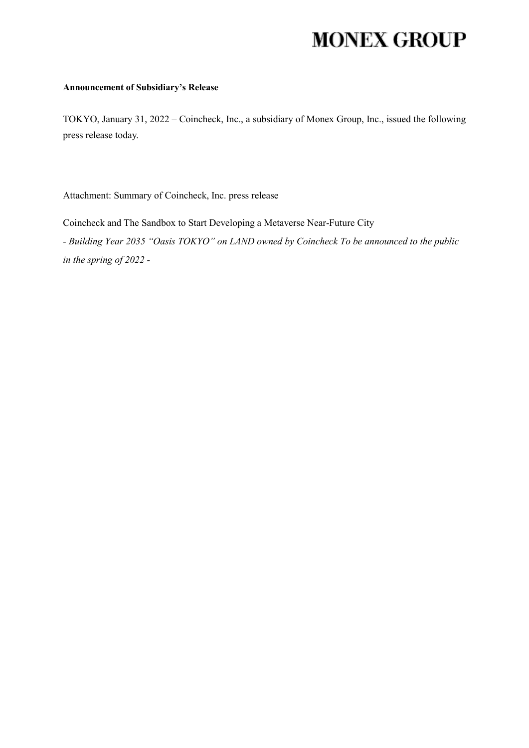## **MONEX GROUP**

## **Announcement of Subsidiary's Release**

TOKYO, January 31, 2022 – Coincheck, Inc., a subsidiary of Monex Group, Inc., issued the following press release today.

Attachment: Summary of Coincheck, Inc. press release

Coincheck and The Sandbox to Start Developing a Metaverse Near-Future City *- Building Year 2035 "Oasis TOKYO" on LAND owned by Coincheck To be announced to the public* 

*in the spring of 2022 -*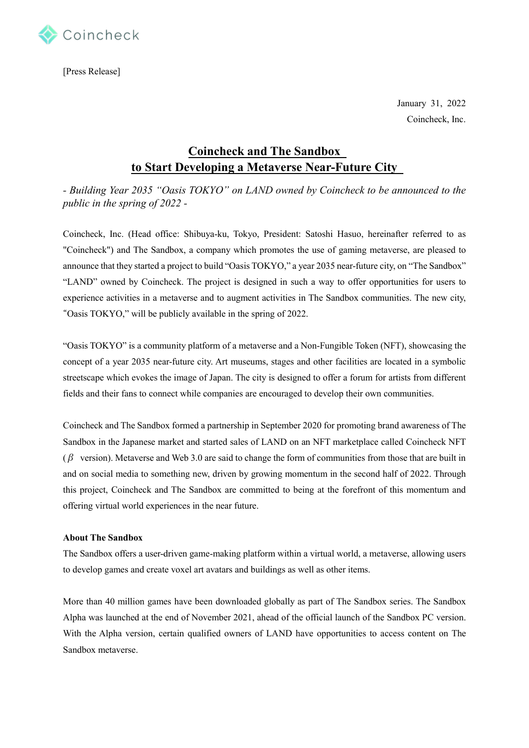

[Press Release]

January 31, 2022 Coincheck, Inc.

## **Coincheck and The Sandbox to Start Developing a Metaverse Near-Future City**

*- Building Year 2035 "Oasis TOKYO" on LAND owned by Coincheck to be announced to the public in the spring of 2022 -*

Coincheck, Inc. (Head office: Shibuya-ku, Tokyo, President: Satoshi Hasuo, hereinafter referred to as "Coincheck") and The Sandbox, a company which promotes the use of gaming metaverse, are pleased to announce that they started a project to build "Oasis TOKYO," a year 2035 near-future city, on "The Sandbox" "LAND" owned by Coincheck. The project is designed in such a way to offer opportunities for users to experience activities in a metaverse and to augment activities in The Sandbox communities. The new city, "Oasis TOKYO," will be publicly available in the spring of 2022.

"Oasis TOKYO" is a community platform of a metaverse and a Non-Fungible Token (NFT), showcasing the concept of a year 2035 near-future city. Art museums, stages and other facilities are located in a symbolic streetscape which evokes the image of Japan. The city is designed to offer a forum for artists from different fields and their fans to connect while companies are encouraged to develop their own communities.

Coincheck and The Sandbox formed a partnership in September 2020 for promoting brand awareness of The Sandbox in the Japanese market and started sales of LAND on an NFT marketplace called Coincheck NFT  $(\beta \text{ version})$ . Metaverse and Web 3.0 are said to change the form of communities from those that are built in and on social media to something new, driven by growing momentum in the second half of 2022. Through this project, Coincheck and The Sandbox are committed to being at the forefront of this momentum and offering virtual world experiences in the near future.

## **About The Sandbox**

The Sandbox offers a user-driven game-making platform within a virtual world, a metaverse, allowing users to develop games and create voxel art avatars and buildings as well as other items.

More than 40 million games have been downloaded globally as part of The Sandbox series. The Sandbox Alpha was launched at the end of November 2021, ahead of the official launch of the Sandbox PC version. With the Alpha version, certain qualified owners of LAND have opportunities to access content on The Sandbox metaverse.